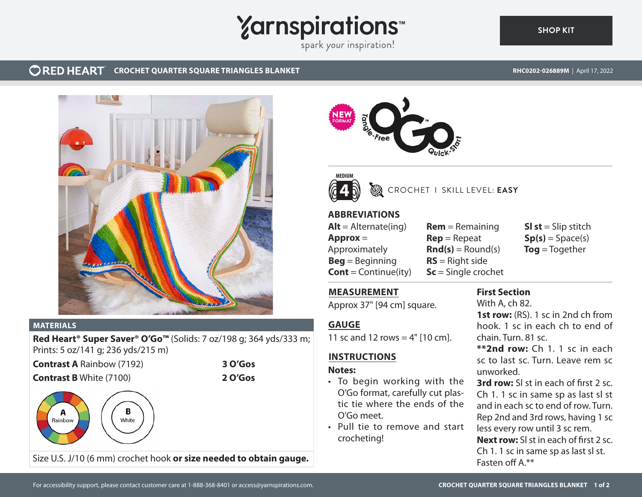# **Yarnspirations**

spark your inspiration!

#### **ORED HEART CROCHET QUARTER SQUARE TRIANGLES BLANKET**

**[SHOP KIT](https://www.yarnspirations.com/RHC0202-026889M.html#utm_source=pdf-yarnspirations&utm_medium=referral)**



#### **MATERIALS**

**Red Heart® Super Saver® O'Go™** (Solids: 7 oz/198 g; 364 yds/333 m; Prints: 5 oz/141 g; 236 yds/215 m)

**Contrast A** Rainbow (7192) **3 O'Gos**

# **Contrast B** White (7100) **2 O'Gos**











# CROCHET I SKILL LEVEL: **EASY**

# **ABBREVIATIONS**

 $Alt =$  Alternate(ing) **Approx** = Approximately **Beg** = Beginning **Cont** = Continue(ity) **Rem** = Remaining **Rep** = Repeat  $\text{Rnd}(s) = \text{Round}(s)$ **RS** = Right side **Sc** = Single crochet

**Sl st** = Slip stitch  $Sp(s) = Space(s)$ **Tog** = Together

# **MEASUREMENT**

Approx 37" [94 cm] square.

# **GAUGE**

11 sc and 12 rows =  $4"$  [10 cm].

# **INSTRUCTIONS**

#### **Notes:**

- To begin working with the O'Go format, carefully cut plastic tie where the ends of the O'Go meet.
- Pull tie to remove and start crocheting!

# **First Section**

With A, ch 82.

**1st row:** (RS). 1 sc in 2nd ch from hook. 1 sc in each ch to end of chain. Turn. 81 sc.

**\*\*2nd row:** Ch 1. 1 sc in each sc to last sc. Turn. Leave rem sc unworked.

**3rd row:** Sl st in each of first 2 sc. Ch 1. 1 sc in same sp as last sl st and in each sc to end of row. Turn. Rep 2nd and 3rd rows, having 1 sc less every row until 3 sc rem. **Next row:** Sl st in each of first 2 sc. Ch 1. 1 sc in same sp as last sl st. Fasten off A.\*\*